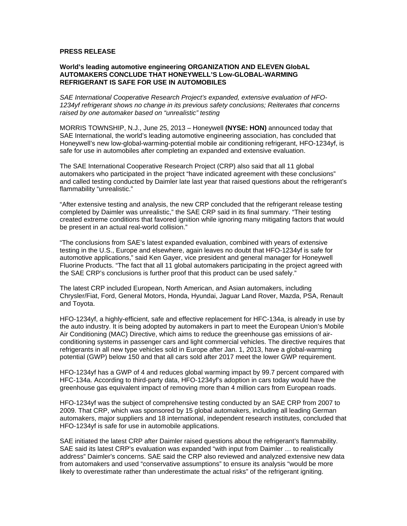## **PRESS RELEASE**

## **World's leading automotive engineering ORGANIZATION AND ELEVEN GlobAL AUTOMAKERS CONCLUDE THAT HONEYWELL'S Low-GLOBAL-WARMING REFRIGERANT IS SAFE FOR USE IN AUTOMOBILES**

*SAE International Cooperative Research Project's expanded, extensive evaluation of HFO-1234yf refrigerant shows no change in its previous safety conclusions; Reiterates that concerns raised by one automaker based on "unrealistic" testing*

MORRIS TOWNSHIP, N.J., June 25, 2013 – Honeywell **(NYSE: HON)** announced today that SAE International, the world's leading automotive engineering association, has concluded that Honeywell's new low-global-warming-potential mobile air conditioning refrigerant, HFO-1234yf, is safe for use in automobiles after completing an expanded and extensive evaluation.

The SAE International Cooperative Research Project (CRP) also said that all 11 global automakers who participated in the project "have indicated agreement with these conclusions" and called testing conducted by Daimler late last year that raised questions about the refrigerant's flammability "unrealistic."

"After extensive testing and analysis, the new CRP concluded that the refrigerant release testing completed by Daimler was unrealistic," the SAE CRP said in its final summary. "Their testing created extreme conditions that favored ignition while ignoring many mitigating factors that would be present in an actual real-world collision."

"The conclusions from SAE's latest expanded evaluation, combined with years of extensive testing in the U.S., Europe and elsewhere, again leaves no doubt that HFO-1234yf is safe for automotive applications," said Ken Gayer, vice president and general manager for Honeywell Fluorine Products. "The fact that all 11 global automakers participating in the project agreed with the SAE CRP's conclusions is further proof that this product can be used safely."

The latest CRP included European, North American, and Asian automakers, including Chrysler/Fiat, Ford, General Motors, Honda, Hyundai, Jaguar Land Rover, Mazda, PSA, Renault and Toyota.

HFO-1234yf, a highly-efficient, safe and effective replacement for HFC-134a, is already in use by the auto industry. It is being adopted by automakers in part to meet the European Union's Mobile Air Conditioning (MAC) Directive, which aims to reduce the greenhouse gas emissions of airconditioning systems in passenger cars and light commercial vehicles. The directive requires that refrigerants in all new type vehicles sold in Europe after Jan. 1, 2013, have a global-warming potential (GWP) below 150 and that all cars sold after 2017 meet the lower GWP requirement.

HFO-1234yf has a GWP of 4 and reduces global warming impact by 99.7 percent compared with HFC-134a. According to third-party data, HFO-1234yf's adoption in cars today would have the greenhouse gas equivalent impact of removing more than 4 million cars from European roads.

HFO-1234yf was the subject of comprehensive testing conducted by an SAE CRP from 2007 to 2009. That CRP, which was sponsored by 15 global automakers, including all leading German automakers, major suppliers and 18 international, independent research institutes, concluded that HFO-1234yf is safe for use in automobile applications.

SAE initiated the latest CRP after Daimler raised questions about the refrigerant's flammability. SAE said its latest CRP's evaluation was expanded "with input from Daimler … to realistically address" Daimler's concerns. SAE said the CRP also reviewed and analyzed extensive new data from automakers and used "conservative assumptions" to ensure its analysis "would be more likely to overestimate rather than underestimate the actual risks" of the refrigerant igniting.